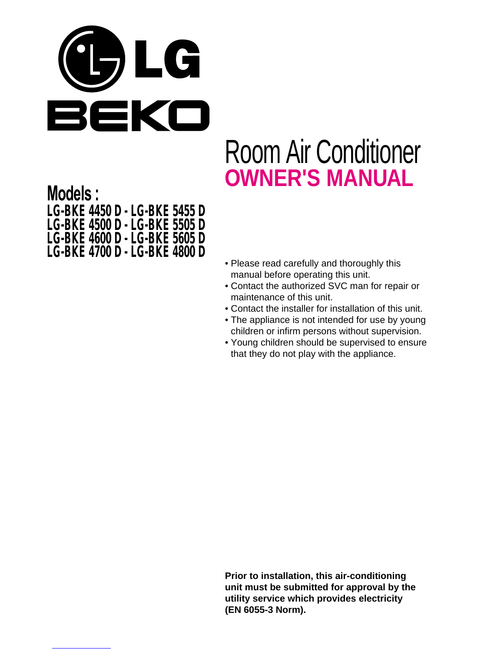

# Room Air Conditioner **OWNER'S MANUAL**

**Models : LG-BKE 4450 D - LG-BKE 5455 D LG-BKE 4500 D - LG-BKE 5505 D LG-BKE 4600 D - LG-BKE 5605 D LG-BKE 4700 D - LG-BKE 4800 D**

- Please read carefully and thoroughly this manual before operating this unit.
- Contact the authorized SVC man for repair or maintenance of this unit.
- Contact the installer for installation of this unit.
- The appliance is not intended for use by young children or infirm persons without supervision.
- Young children should be supervised to ensure that they do not play with the appliance.

**Prior to installation, this air-conditioning unit must be submitted for approval by the utility service which provides electricity (EN 6055-3 Norm).**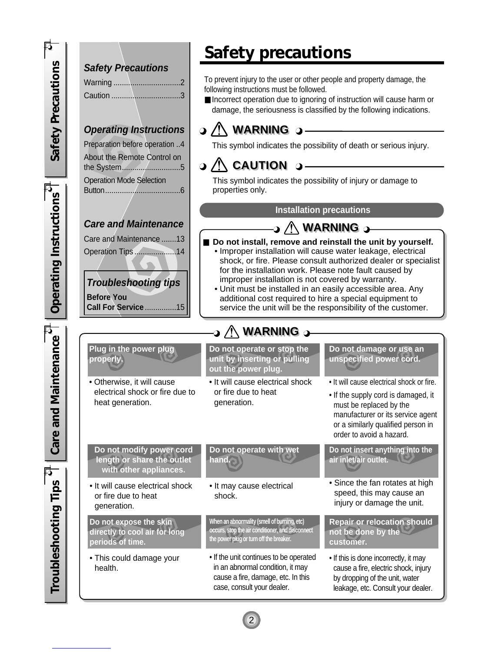*Safety precautions* Safety Precautions *Safety Precautions* **Safety Precautions** To prevent injury to the user or other people and property damage, the Warning ................................2 following instructions must be followed. Caution .................................3 ■ Incorrect operation due to ignoring of instruction will cause harm or damage, the seriousness is classified by the following indications. **Operating Instructions WARNING WARNING**  $\Omega$  / Preparation before operation ..4 This symbol indicates the possibility of death or serious injury. About the Remote Control on **CAUTION CAUTION** the System............................5 This symbol indicates the possibility of injury or damage to Operation Mode Selection properties only. Operating Instructions Button....................................6 *Operating Instructions* **Installation precautionsCare and Maintenance WARNING WARNING** Care and Maintenance .......13 Do not install, remove and reinstall the unit by yourself. Operation Tips ....................14 • Improper installation will cause water leakage, electrical shock, or fire. Please consult authorized dealer or specialist for the installation work. Please note fault caused by improper installation is not covered by warranty. **Troubleshooting tips** • Unit must be installed in an easily accessible area. Any **Before You** additional cost required to hire a special equipment to **Call For Service** ...............15 service the unit will be the responsibility of the customer. **WARNING** 2-**Care and Maintenance** *Care and Maintenance* **Do not damage or use an Plug in the power plug Do not operate or stop the unit by inserting or pulling unspecified power cord. properly. out the power plug.** • It will cause electrical shock or fire. • Otherwise, it will cause • It will cause electrical shock electrical shock or fire due to or fire due to heat • If the supply cord is damaged, it heat generation. generation. must be replaced by the manufacturer or its service agent or a similarly qualified person in order to avoid a hazard. **Do not modify power cord Do not operate with wet Do not insert anything into the length or share the outlet air inlet/air outlet. hand. with other appliances. Troubleshooting Tips** • Since the fan rotates at high *Troubleshooting Tips* • It will cause electrical shock • It may cause electrical speed, this may cause an or fire due to heat shock. injury or damage the unit. generation. **Do not expose the skin Repair or relocation should Whenanabnormality(smellofburning,etc) directly to cool air for long not be done by the occurs,stoptheairconditioner,anddisconnect periods of time.** the power plug or turn off the breaker. **customer.** • If the unit continues to be operated • This could damage your • If this is done incorrectly, it may health. in an abnormal condition, it may cause a fire, electric shock, injury cause a fire, damage, etc. In this by dropping of the unit, water case, consult your dealer. leakage, etc. Consult your dealer.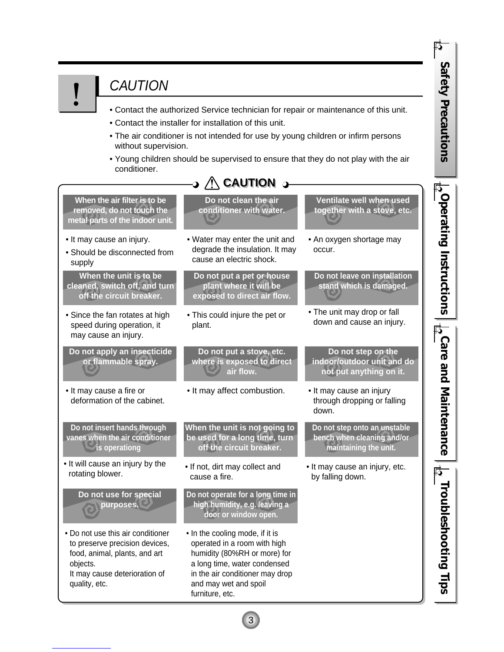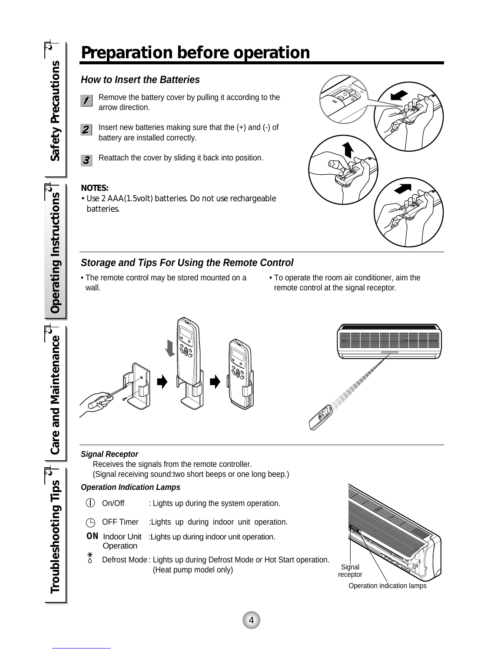## *Preparation before operation*

#### **How to Insert the Batteries**

Remove the battery cover by pulling it according to the  $\prime$ arrow direction.

- Insert new batteries making sure that the (+) and (-) of  $\overline{2}$ battery are installed correctly.
- Reattach the cover by sliding it back into position.  $\boldsymbol{3}$

#### *NOTES:*

*• Use 2 AAA(1.5volt) batteries. Do not use rechargeable batteries.*



#### **Storage and Tips For Using the Remote Control**

- The remote control may be stored mounted on a wall.
- To operate the room air conditioner, aim the remote control at the signal receptor.





#### **Signal Receptor**

Receives the signals from the remote controller.

(Signal receiving sound:two short beeps or one long beep.)

#### **Operation Indication Lamps**

- $\bigcirc$  On/Off : Lights up during the system operation.
- $(D)$  OFF Timer : Lights up during indoor unit operation.
- **ON** Indoor Unit :Lights up during indoor unit operation.**Operation**
- $\frac{*}{\Diamond}$ Defrost Mode : Lights up during Defrost Mode or Hot Start operation. (Heat pump model only)

4



Operation indication lamps

Operating Instructions *Operating Instructions*

**Care and Maintenance** *Care and Maintenance* Troubleshooting Tips  $^\frac{\tau}{\tau}$ *Troubleshooting Tips*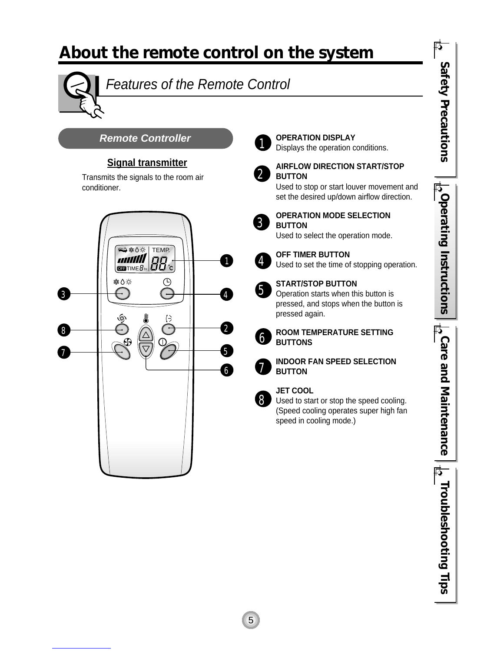## *About the remote control on the system*



## Features of the Remote Control

**Remote Controller**

#### **Signal transmitter**

Transmits the signals to the room air conditioner.



### 1

#### **OPERATION DISPLAY** Displays the operation conditions.

 $\bf{2}$  .

#### **AIRFLOW DIRECTION START/STOP BUTTON**

**OPERATION MODE SELECTION**

Used to stop or start louver movement and set the desired up/down airflow direction.

3

### **BUTTON** Used to select the operation mode.

4

#### **OFF TIMER BUTTON**

Used to set the time of stopping operation.



#### **START/STOP BUTTON**

Operation starts when this button is pressed, and stops when the button is pressed again.



5

#### **ROOM TEMPERATURE SETTING BUTTONS**

7

**INDOOR FAN SPEED SELECTION BUTTON**



#### **JET COOL**

Used to start or stop the speed cooling. (Speed cooling operates super high fan speed in cooling mode.)

 $\frac{1}{\sqrt{2}}$ Operating Instructions *Operating Instructions*  $\frac{1}{12}$ Care and Maintenance *Care and Maintenance*

*Troubleshooting Tips*

**Le Troubleshooting Tips** 

*Safety Precautions*

Safety Precautions

序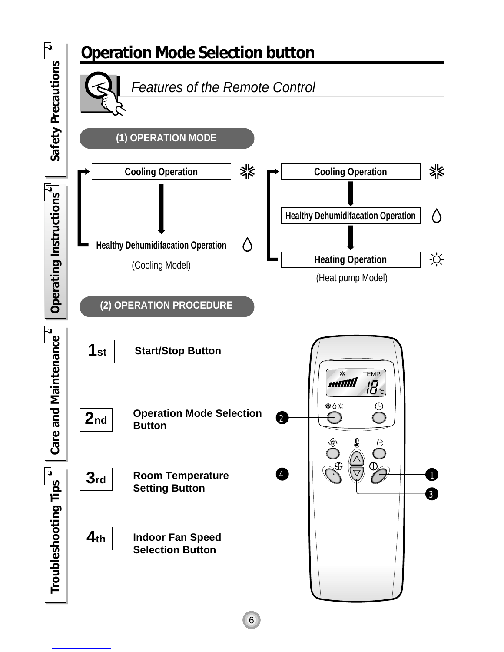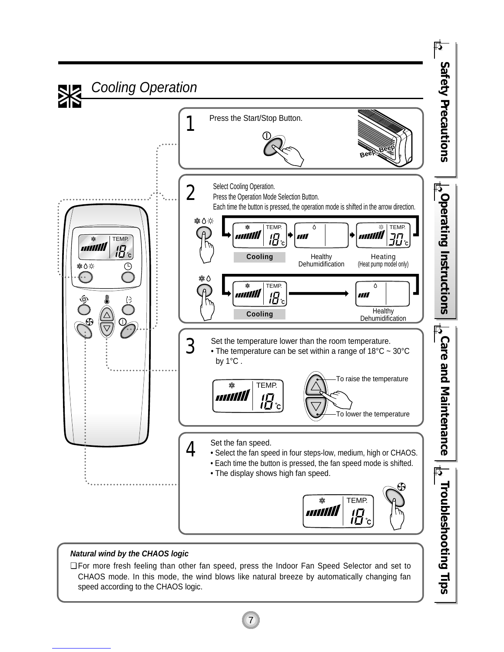

#### **Natural wind by the CHAOS logic**

❏ For more fresh feeling than other fan speed, press the Indoor Fan Speed Selector and set to CHAOS mode. In this mode, the wind blows like natural breeze by automatically changing fan speed according to the CHAOS logic.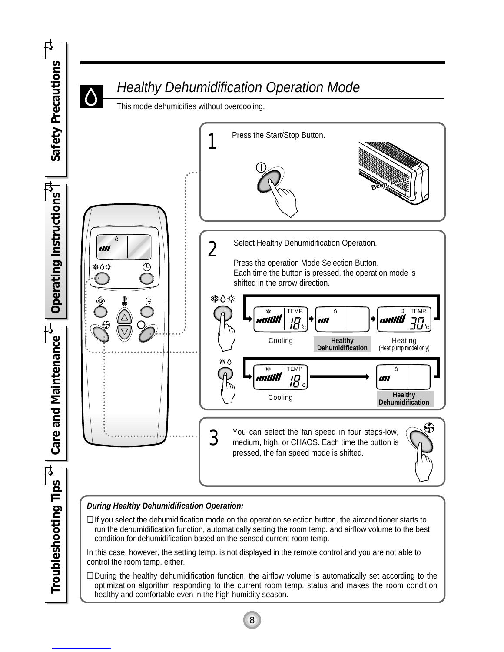

❏ During the healthy dehumidification function, the airflow volume is automatically set according to the optimization algorithm responding to the current room temp. status and makes the room condition healthy and comfortable even in the high humidity season.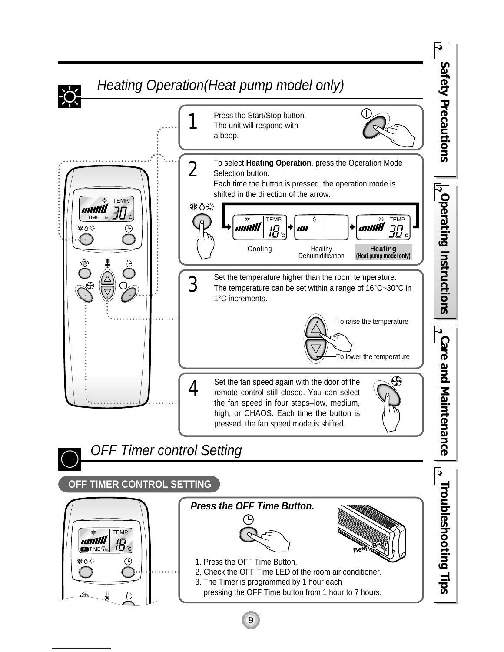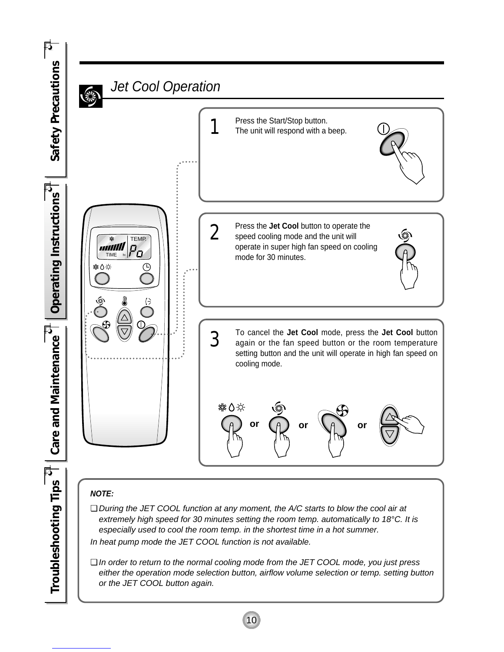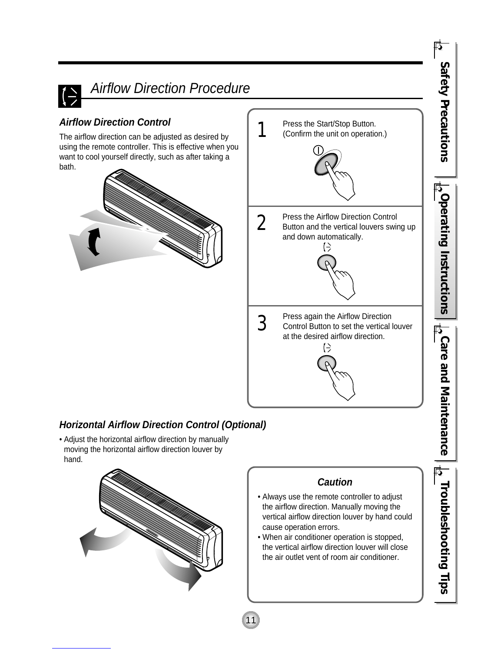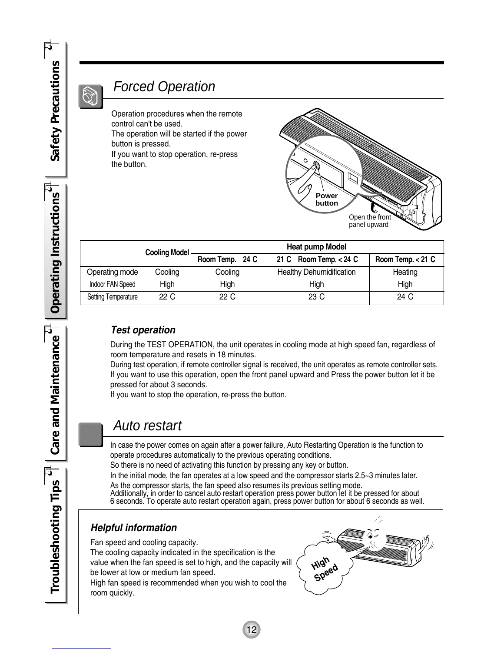### *Forced Operation*

Operation procedures when the remote control can't be used. The operation will be started if the power

button is pressed.

If you want to stop operation, re-press the button.



|                            | <b>Cooling Model</b> | <b>Heat pump Model</b> |                                 |                     |
|----------------------------|----------------------|------------------------|---------------------------------|---------------------|
|                            |                      | Room Temp. 24 C        | 21 C Room Temp. $< 24$ C        | Room Temp. $< 21$ C |
| Operating mode             | Cooling              | Cooling                | <b>Healthy Dehumidification</b> | Heating             |
| Indoor FAN Speed           | High                 | High                   | High                            | High                |
| <b>Setting Temperature</b> | 22 C                 | 22 C                   | 23 C                            | 24 C                |

#### **Test operation**

During the TEST OPERATION, the unit operates in cooling mode at high speed fan, regardless of room temperature and resets in 18 minutes.

During test operation, if remote controller signal is received, the unit operates as remote controller sets. If you want to use this operation, open the front panel upward and Press the power button let it be pressed for about 3 seconds.

If you want to stop the operation, re-press the button.

### *Auto restart*

In case the power comes on again after a power failure, Auto Restarting Operation is the function to operate procedures automatically to the previous operating conditions.

So there is no need of activating this function by pressing any key or button.

In the initial mode, the fan operates at a low speed and the compressor starts 2.5~3 minutes later.

As the compressor starts, the fan speed also resumes its previous setting mode. Additionally, in order to cancel auto restart operation press power button let it be pressed for about 6 seconds. To operate auto restart operation again, press power button for about 6 seconds as well.

12

#### **Helpful information**

Fan speed and cooling capacity.

The cooling capacity indicated in the specification is the value when the fan speed is set to high, and the capacity will be lower at low or medium fan speed.

High fan speed is recommended when you wish to cool the room quickly.



Operating Instructions *Operating Instructions* **Care and Maintenance** *Care and Maintenance* Troubleshooting Tips

*Troubleshooting Tips*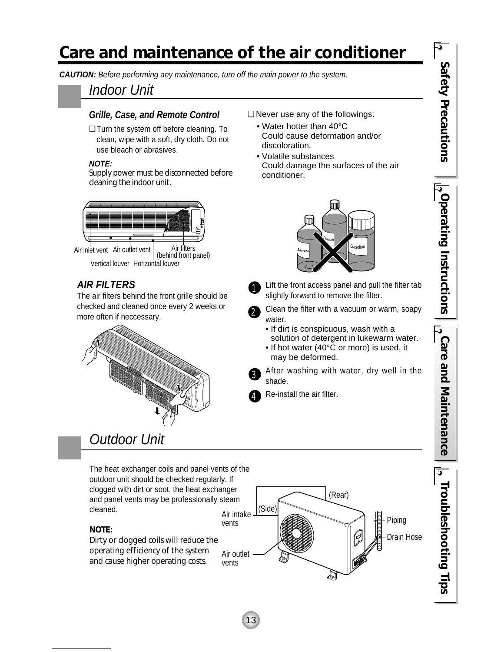## *Care and maintenance of the air conditioner*

1

3

4

**CAUTION:** Before performing any maintenance, turn off the main power to the system.

### Indoor Unit

#### **Grille, Case, and Remote Control**

❏ Turn the system off before cleaning. To clean, wipe with a soft, dry cloth. Do not use bleach or abrasives.

#### **NOTE:**

*Supply power must be disconnected before cleaning the indoor unit.*



Vertical louver Horizontal louver Air filters<br>(behind front panel)

#### **AIR FILTERS**

The air filters behind the front grille should be checked and cleaned once every 2 weeks or more often if neccessary.



## Outdoor Unit

The heat exchanger coils and panel vents of the outdoor unit should be checked regularly. If clogged with dirt or soot, the heat exchanger and panel vents may be professionally steam cleaned.

*NOTE:*

vents *Dirty or clogged coils will reduce the operating efficiency of the system and cause higher operating costs.*

(Rear) (Side) Air intake Piping vents Drain Hose Air outlet N



❏ Never use any of the followings: **•** Water hotter than 40°C

Could damage the surfaces of the air conditioner.



- Lift the front access panel and pull the filter tab slightly forward to remove the filter.
- Clean the filter with a vacuum or warm, soapy water. 2
	- If dirt is conspicuous, wash with a solution of detergent in lukewarm water.
	- If hot water (40°C or more) is used, it may be deformed.

After washing with water, dry well in the shade.

Re-install the air filter.

13

 $\frac{1}{12}$ Operating Instructions *Operating Instructions*  $\frac{1}{12}$ Care and Maintenance *Care and Maintenance*

*Troubleshooting Tips*

Troubleshooting Tips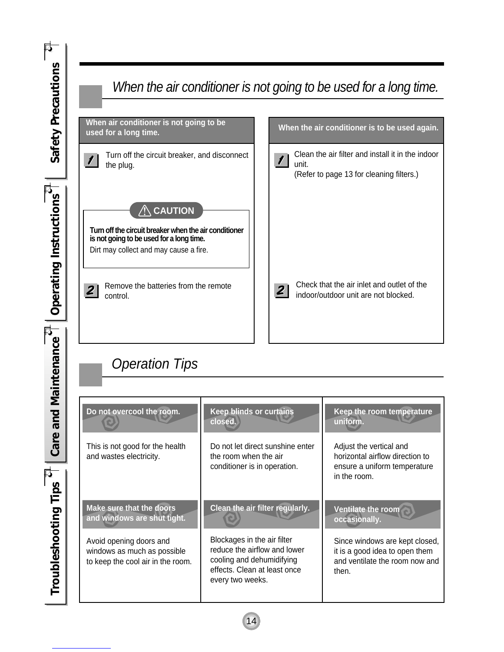